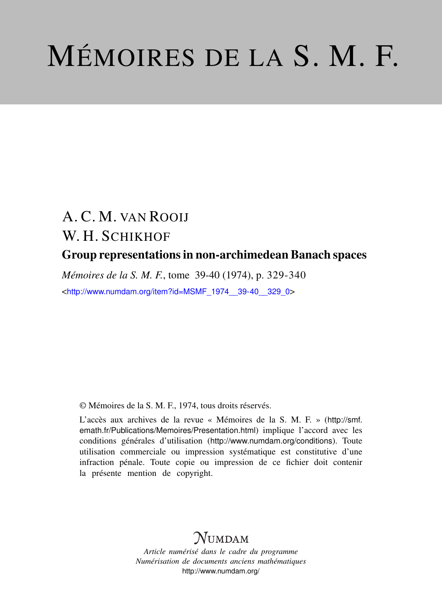# MÉMOIRES DE LA S. M. F.

## A. C. M. VAN ROOIJ W. H. SCHIKHOF Group representations in non-archimedean Banach spaces

*Mémoires de la S. M. F.*, tome 39-40 (1974), p. 329-340 <[http://www.numdam.org/item?id=MSMF\\_1974\\_\\_39-40\\_\\_329\\_0](http://www.numdam.org/item?id=MSMF_1974__39-40__329_0)>

© Mémoires de la S. M. F., 1974, tous droits réservés.

L'accès aux archives de la revue « Mémoires de la S. M. F. » ([http://smf.](http://smf.emath.fr/Publications/Memoires/Presentation.html) [emath.fr/Publications/Memoires/Presentation.html](http://smf.emath.fr/Publications/Memoires/Presentation.html)) implique l'accord avec les conditions générales d'utilisation (<http://www.numdam.org/conditions>). Toute utilisation commerciale ou impression systématique est constitutive d'une infraction pénale. Toute copie ou impression de ce fichier doit contenir la présente mention de copyright.

### $N$ UMDAM

*Article numérisé dans le cadre du programme Numérisation de documents anciens mathématiques* <http://www.numdam.org/>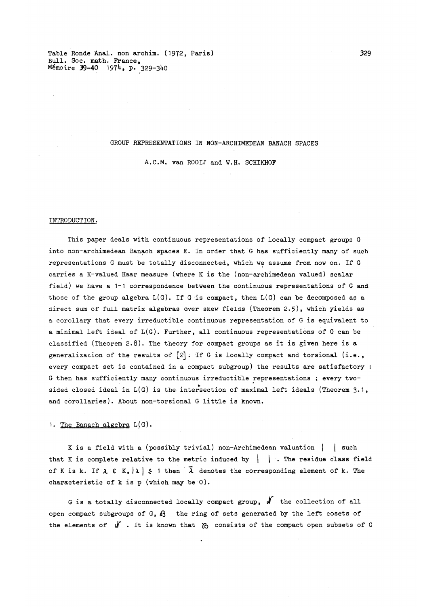Table Ronde Anal. non archim. (1972, Paris) 329 Bull. Soc. math. France, Memoire 39-40 1974. P. 329-340

#### GROUP REPRESENTATIONS IN NON-ARCHIMEDEAN BANACH SPACES

A.C.M. van ROOIJ and W.H. SCHIKHOF

#### INTRODUCTION.

This paper deals with continuous representations of locally compact groups G into non-archimedean Banach spaces E. In order that G has sufficiently many of such representations G must be totally disconnected, which we assume from now on. If G carries a K-valued Haar measure (where K is the (non-archime dean valued) scalar field) we have a 1-1 correspondence between the continuous representations of G and those of the group algebra  $L(G)$ . If G is compact, then  $L(G)$  can be decomposed as a direct sum of full matrix algebras over skew fields (Theorem 2.5) , which yields as a corollary that every irreductible continuous representation of G is equivalent to a minimal left ideal of  $L(G)$ . Further, all continuous representations of G can be classified (Theorem 2.8) . The theory for compact groups as it is given here is a generalization of the results of  $[2]$ . If G is locally compact and torsional (i.e., every compact set is contained in a compact subgroup) the results are satisfactory : G then has sufficiently many continuous irreductible representations ; every twosided closed ideal in  $L(G)$  is the intersection of maximal left ideals (Theorem 3.1, and corollaries). About non-torsional G little is known.

1. The Banach algebra  $L(G)$ .

K is a field with a (possibly trivial) non-Archimedean valuation | | such that K is complete relative to the metric induced by  $\|\cdot\|$ . The residue class field of K is k. If  $\lambda \in K$ ,  $|\lambda| \leq 1$  then  $\overline{\lambda}$  denotes the corresponding element of k. The characteristic of k is p (which may be 0) .

G is a totally disconnected locally compact group,  $\mathcal{N}$  the collection of all open compact subgroups of G,  $\delta$  the ring of sets generated by the left cosets of the elements of  $\mathcal Y$  . It is known that  $\mathcal Y$  consists of the compact open subsets of G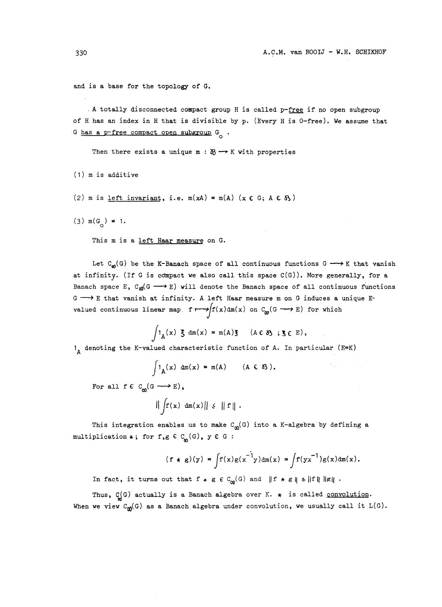and is a base for the topology of G.

. A totally disconnected compact group H is called  $p$ -free if no open subgroup of H. has an index in H that is divisible by p. (Every H is 0-free). We assume that G has a p-free compact open subgroup  $G^{\bullet}$ .

Then there exists a unique m :  $\mathfrak{B} \longrightarrow K$  with properties

 $(1)$  m is additive

(2) m is <u>left invariant</u>, i.e.  $m(xA) = m(A)$  ( $x \in G$ ;  $A \in \mathcal{B}$ )

(3)  $m(G^{\circ}) = 1$ .

This m is a left Haar measure on G.

Let  $C_{\omega}(G)$  be the K-Banach space of all continuous functions  $G \longrightarrow K$  that vanish at infinity. (If G is compact we also call this space  $C(G)$ ). More generally, for a Banach space E, C<sub>o</sub>(G  $\longrightarrow$  E) will denote the Banach space of all continuous functions  $G \longrightarrow E$  that vanish at infinity. A left Haar measure m on G induces a unique Evalued continuous linear map.  $f \mapsto f(x) \, dm(x)$  on  $C_{\omega}(G \longrightarrow E)$  for which

$$
\int 1_A(x) \xi dm(x) = m(A)\xi \quad (A \in \delta \S \; ; \xi \in E),
$$

 $1_A$  denoting the K-valued characteristic function of A. In particular (E=K)

$$
\int 1_A(x) dm(x) = m(A) \qquad (A \in \mathcal{B}).
$$

For all  $f \in C_{\mathsf{m}}(G \longrightarrow E)$ ,

 $\|\int f(x) \, dm(x)\| \leq \|f\|$ .

This integration enables us to make  $C^{\alpha}(G)$  into a K-algebra by defining a multiplication  $*$ ; for f,g  $C_{\omega}(G)$ , y  $C G$  :

$$
(f * g)(y) = \int f(x)g(x^{-1}y)dm(x) = \int f(yx^{-1})g(x)dm(x).
$$

In fact, it turns out that  $f * g \in C_{\alpha}(G)$  and  $|| f * g || \le ||f|| ||g||$ .

Thus,  $C_{\omega}(\mathbf{G})$  actually is a Banach algebra over K.  $*$  is called <u>convolution</u>. When we view  $C_{\text{M}}(G)$  as a Banach algebra under convolution, we usually call it  $L(G)$ .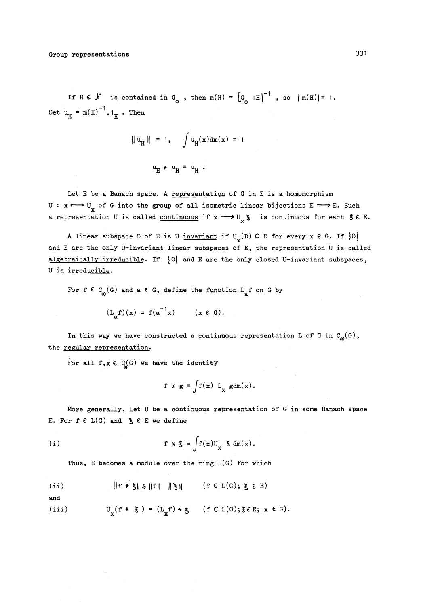If H  $\epsilon$   $\mathcal{N}$  is contained in G<sub>o</sub>, then m(H) =  $\left[\mathcal{G}_{\geq} : H\right]^{-1}$ , so  $|m(H)| = 1$ . Set  $u_{\text{H}} = m(H)^{-1}$ . 1<sub>H</sub>. Then

$$
\|u_H\| = 1, \quad \int u_H(x) dm(x) = 1
$$
  

$$
u_H * u_H = u_H.
$$

$$
\mathbf{u}_{\mathbf{H}} \star \mathbf{u}_{\mathbf{H}} = \mathbf{u}_{\mathbf{H}} \; .
$$

Let E be a Banach space. A representation of G in E is a homomorphism  $U: x \mapsto U$  of G into the group of all isometric linear bijections  $E \longrightarrow E$ . Such a representation U is called continuous if  $x \rightarrow U_x$  is continuous for each S  $\epsilon$  E.

A linear subspace D of E is U-invariant if  $U_{\mathbf{y}}(D) \subset D$  for every  $\mathbf{x} \in G$ . If  $\{0\}$ and E are the only U-invariant linear subspaces of E, the representation U is called algebraically irreducible. If *\0\* and E are the only closed U-invariant subspaces, U is irreducible.

For  $f \in C_{\omega}(G)$  and a  $\epsilon G$ , define the function  $L_{\alpha} f$  on G by

$$
(\mathbf{L}_{\mathbf{a}}\mathbf{f})(\mathbf{x}) = \mathbf{f}(\mathbf{a}^{-1}\mathbf{x}) \qquad (\mathbf{x} \in \mathbf{G}).
$$

In this way we have constructed a continuous representation L of G in  $C_{\omega}(G)$ , the regular representation.

For all f,g  $\in C(G)$  we have the identity

$$
f * g = \int f(x) L_x g dm(x).
$$

More generally, let U be a continuous representation of G in some Banach space E. For  $f \in L(G)$  and  $g \in E$  we define

(i) 
$$
f * \xi = \int f(x) u_x \xi dm(x).
$$

Thus, E becomes a module over the ring L(G) for which  
\n(ii) 
$$
||f * \xi|| \le ||f|| \quad ||\xi||
$$
 (f C L(G);  $\xi \in E$ )

$$
\quad \text{and} \quad
$$

(iii) 
$$
U_{\nu}(f * \xi) = (L_{\nu}f) * \xi \quad (f \in L(G); \xi \in E; x \in G).
$$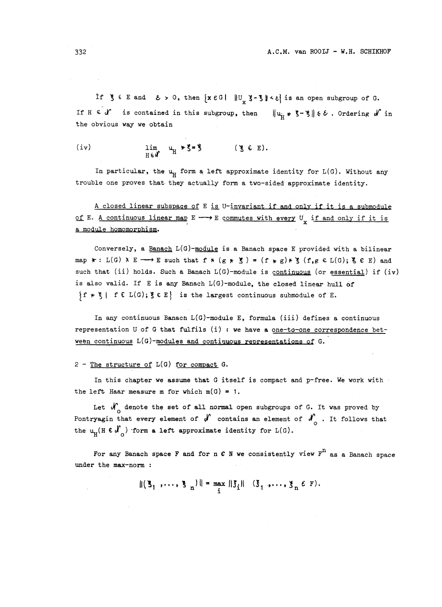If  $\xi \in E$  and  $\xi > 0$ , then  $\{x \in G \mid ||U_x \xi - \xi|| \leq \xi\}$  is an open subgroup of G. If H  $\in \mathcal{U}$  is contained in this subgroup, then  $\|u_{ij} * \xi - \xi\| \leq \varepsilon$ . Ordering  $\mathcal{U}$  in the obvious way we obtain

(iv) 
$$
\lim_{H \in \mathcal{U}} u_H * \xi = \xi \qquad (\xi \in E).
$$

In particular, the  $u_{\mu}$  form a left approximate identity for  $L(G)$ . Without any trouble one proves that they actually form a two-sided approximate identity.

A closed linear subspace of E is U-invariant if and only if it is a submodule of E. A continuous linear map  $E \longrightarrow E$  commutes with every  $U_{\mathbf{y}}$  if and only if it is a module homomorphism.

Conversely, a Banach  $L(G)$ -module is a Banach space E provided with a bilinear map  $\ast$  : L(G)  $X \to \infty$  E such that  $f \ast (g \ast \xi) = (f \ast g) \ast \xi (f, g \in L(G); \xi \in E)$  and such that (ii) holds. Such a Banach  $L(G)$ -module is continuous (or essential) if (iv) is also valid. If E is any Banach L(G)-module, the closed linear hull of  ${f \times \xi \mid f \in L(G)}$ ;  $\{ \xi \in E \}$  is the largest continuous submodule of E.

In any continuous Banach  $L(G)$ -module E, formula (iii) defines a continuous representation U of G that fulfils  $(i)$  : we have a one-to-one correspondence between continuous L(G)-modules and continuous representations of G.

 $2$  - The structure of  $L(G)$  for compact  $G$ .

In this chapter we assume that G itself is compact and p-free. We work with the left Haar measure m for which  $m(G) = 1$ .

Let  $\mathcal{N}_{\rho}$  denote the set of all normal open subgroups of G. It was proved by Pontryagin that every element of  $\int_0^{\infty}$  contains an element of  $\int_0^{\infty}$ . It follows that the  $u_{\text{H}} (H \in \mathcal{N}_{\Omega})$  form a left approximate identity for  $L(G)$ .

For any Banach space F and for n C N we consistently view  $F^{11}$  as a Banach space under the max-norm :

 $||(\xi_1, ..., \xi_n)|| = \max_i ||\xi_i||$  ( $\xi_1, ..., \xi_n \in F$ ).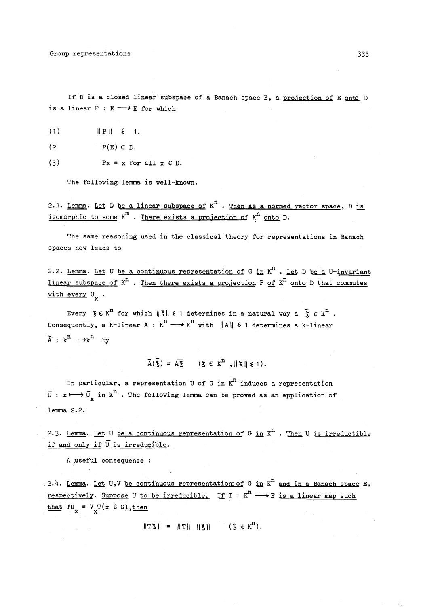If D is a closed linear subspace of a Banach space E, a projection of E onto D is a linear  $P : E \longrightarrow E$  for which

- $\| P \| \leq 1.$
- $P(E) \subset D$ .
- (3)  $Px = x$  for all  $x \in D$ .

The following lemma is well-known.

2.1. Lemma. Let D be a linear subspace of  $K<sup>n</sup>$ . Then as a normed vector space, D is isomorphic to some  $K^m$  . There exists a projection of  $K^n$  onto D

The same reasoning used in the classical theory for representations in Banach spaces now leads to

2.2. Lemma. Let U be a continuous representation of G in  $K^n$  . Let D be a U-invariant  $\frac{1}{\sqrt{1+\frac{1}{n}}}\frac{1}{\sqrt{1+\frac{1}{n}}}\frac{1}{\sqrt{1+\frac{1}{n}}}\frac{1}{\sqrt{1+\frac{1}{n}}}\frac{1}{\sqrt{1+\frac{1}{n}}}\frac{1}{\sqrt{1+\frac{1}{n}}}\frac{1}{\sqrt{1+\frac{1}{n}}}\frac{1}{\sqrt{1+\frac{1}{n}}}\frac{1}{\sqrt{1+\frac{1}{n}}}\frac{1}{\sqrt{1+\frac{1}{n}}}\frac{1}{\sqrt{1+\frac{1}{n}}}\frac{1}{\sqrt{1+\frac{1}{n}}}\frac{1}{\sqrt{1+\frac{1}{n}}}\frac{1}{\sqrt{1+\frac{$ with every  $U_x$ .

Every  $\xi \in K^n$  for which  $||\xi|| \leq 1$  determines in a natural way a  $\bar{\xi} \in k^n$ . Consequently, a K-linear A :  $K^n \longrightarrow K^n$  with  $||A|| \leq 1$  determines a k-linear  $\tilde{A}: \kappa^n \longrightarrow \kappa^n$  by

$$
\overline{A}(\overline{\xi}) = A\overline{\xi} \qquad (\xi \in K^{n}, \|\xi\| \leq 1).
$$

In particular, a representation U of G in  $K<sup>n</sup>$  induces a representation  $\overline{U}$ :  $x \mapsto \overline{U}$  in  $k^{\mathbf{n}}$ . The following lemma can be proved as an application of lemma 2.2.

2.3. Lemma. Let U be a continuous representation of G in  $K^n$  . Then U is irreductible if and only if  $\overline{U}$  is irreducible.

A .useful consequence :

2.4. Lemma. Let U,V be continuous representations of G in  $K^n$  and in a Banach space E, respectively. Suppose U to be irreducible. If  $T : K^n \longrightarrow E$  is a linear map such that  $TU_x = V_T(x \in G)$ , then

 $\|\text{TS}\| = \|\text{T}\| \|\text{S}\|$  ( $\text{S} \in \text{K}^n$ ).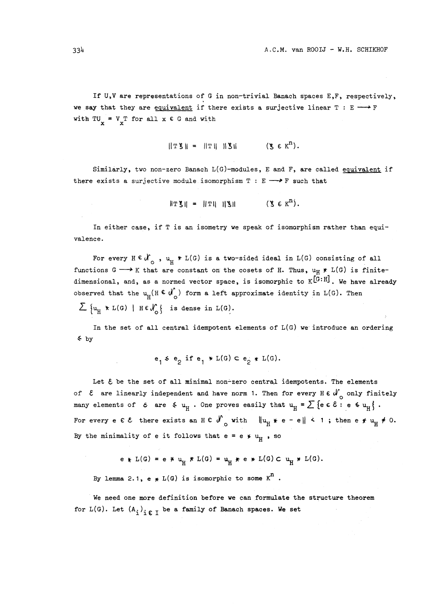If U,V are representations of G in non-trivial Banach spaces E,F, respectively, we say that they are equivalent if there exists a surjective linear  $T : E \longrightarrow F$ with  $TU_x = V_T$  for all  $x \in G$  and with

$$
\|\mathbf{T}\mathbf{S}\| = \|\mathbf{T}\| \|\mathbf{S}\| \qquad (\mathbf{S} \in \mathbf{K}^n).
$$

Similarly, two non-zero Banach L(G)-modules, E and F, are called equivalent if there exists a surjective module isomorphism  $T : E \longrightarrow F$  such that

$$
||T\mathbf{S}|| = ||T|| ||\mathbf{S}||
$$
 (8  $\epsilon$   $\kappa$ <sup>n</sup>).

In either case, if T is an isometry we speak of isomorphism rather than equivalence.

For every  $H \in \mathcal{N}_{\alpha}$ ,  $u_{H} * L(G)$  is a two-sided ideal in  $L(G)$  consisting of all functions  $G \longrightarrow K$  that are constant on the cosets of H. Thus,  $u_H \star L(G)$  is finitedimensional, and, as a normed vector space, is isomorphic to K<sup>[C: H]</sup>. We have already observed that the  $u_{H}$ (H  $\epsilon$   $\mathcal{N}_{0}$ ) form a left approximate identity in L(G). Then  $\sum \{u_{\text{H}} \times L(G) \mid H \in \mathcal{N}_o \}$  is dense in  $L(G)$ .

In the set of all central idempotent elements of  $L(G)$  we introduce an ordering ^ by

$$
e_1 \leq e_2 \text{ if } e_1 \times L(G) \subset e_2 \times L(G).
$$

Let  $\epsilon$  be the set of all minimal non-zero central idempotents. The elements of  $\epsilon$  are linearly independent and have norm 1. Then for every H  $\epsilon$  d<sub>o</sub> only finitely many elements of  $\varepsilon$  are  $\check{\xi}$   $u_{\text{H}}$ . One proves easily that  $u_{\text{H}} = \sum {\{\text{e } \varepsilon \hat{\xi} : \text{e } \xi u_{\text{H}}\}}$ . For every e  $\epsilon \epsilon$  there exists an  $H \epsilon$  of with  $\|u_{H} * e - e\| \leq 1$ ; then e  $\star u_{H} \neq 0$ . By the minimality of e it follows that  $e = e * u_{H}$ , so

$$
e * L(G) = e * u_{H} * L(G) = u_{H} * e * L(G) C u_{H} * L(G).
$$

By lemma 2.1,  $e * L(G)$  is isomorphic to some  $K^n$ .

We need one more definition before we can formulate the structure theorem for L(G). Let  $(A_i)_{i \in I}$  be a family of Banach spaces. We set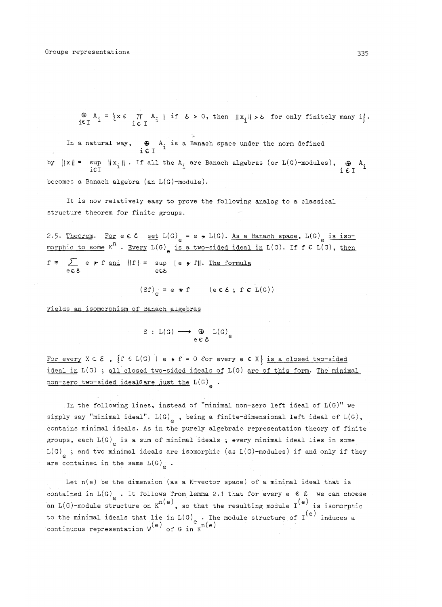$\begin{array}{c} \n\oplus \ A_i = \{x \in \Pi \ A_i \mid \text{if } \ \epsilon > 0, \text{ then } ||x_i|| > \epsilon \text{ for only finitely many } i \}. \n\end{array}$ 

In a natural way,  $\bigoplus_{i \in I} A_i$  is a Banach space under the norm defined by  $||x|| = \sup_{i \in I} ||x_i||$ . If all the  $A_i$  are Banach algebras (or  $L(G)$ -modules),  $\bigoplus_{i \in I} A_i$ becomes a Banach algebra (an L(G)-module).

It is now relatively easy to prove the following analog to a classical structure theorem for finite groups.

2.5. Theorem. For e c  $\ell$  set  $L(G)$  = e \* L(G). As a Banach space, L(G) is isomorphic to some  $K^n$ . Every  $L(G)$  is a two-sided ideal in  $L(G)$ . If  $f \in L(G)$ , then f = *Z\_ e yr* f and (| f ) [ = sup || <sup>e</sup> *^* f|( . The formula  $e \in \mathcal{E}$  e $\epsilon$ 

$$
(Sf)_{\alpha} = e * f \qquad (e \in \mathcal{E} ; f \in L(G))
$$

yields an isomorphism of Banach algebras

$$
S : L(G) \longrightarrow \bigoplus_{e \in \mathcal{E}} L(G)_e
$$

For every  $X \subset \mathcal{E}$ ,  $\{f \in L(G) \mid e * f = 0 \text{ for every } e \in X\}$  is a closed two-sided ideal in L(G) ; all closed two-sided ideals of L(G) are of this form. The minimal non-zero two-sided ideals are just the L(G).

In the following lines, instead of "minimal non-zero left ideal of  $L(G)$ " we simply say "minimal ideal".  $L(G)$ , being a finite-dimensional left ideal of  $L(G)$ , contains minimal ideals. As in the purely algebraic representation theory of finite groups, each  $L(G)$  is a sum of minimal ideals ; every minimal ideal lies in some  $L(G)$  ; and two minimal ideals are isomorphic (as  $L(G)$ -modules) if and only if they are contained in the same  $L(G)$ <sub>0</sub>.

Let  $n(e)$  be the dimension (as a K-vector space) of a minimal ideal that is contained in L(G) . It follows from lemma 2.1 that for every e  $\epsilon$   $\epsilon$  we can choose an  $L(G)$ -module structure on  $K^{n(e)}$ , so that the resulting module  $I^{(e)}$  is isomorphic to the minimal ideals that lie in  $L(G)$ . The module structure of  $I^{\{e\}}$  induces a continuous representation  $W^{\epsilon}$  of G in K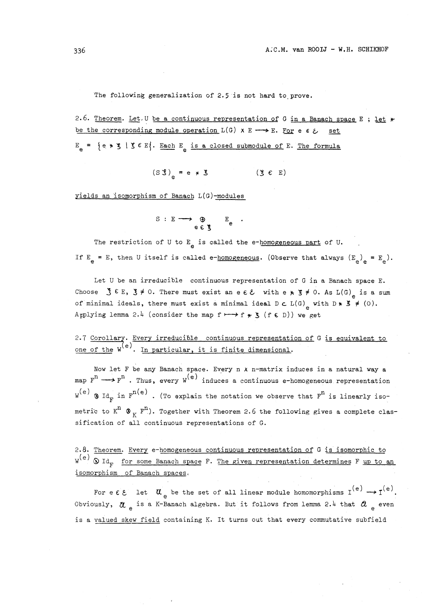The following generalization of 2.5 is not hard to prove.

2.6 . Theorem. Let .• U be a continuous representation of G in a Banach space E ; let *yr* be the corresponding module operation  $L(G) \times E \longrightarrow E$ . For e  $\epsilon \geqslant$  set

 $E_{\alpha}$  = {e \*  $\zeta$  |  $\zeta \in E$ }. Each E<sub>a</sub> is a closed submodule of E. The formula

$$
(S\hat{S})_{\circ} = e \ast \check{S} \qquad (\check{S} \in E)
$$

yields an isomorphism of Banach L(G)-modules

$$
\begin{array}{ccc}\nS & : E \longrightarrow & \bigoplus_{e \in \mathcal{E}} & E_e \\
& & \downarrow \\
& & & \downarrow \\
\end{array}
$$

The restriction of U to  $E_a$  is called the e-homogeneous part of U. If  $E_a = E$ , then U itself is called e-homogeneous. (Observe that always  $(E_a)_{a} = E_a$ ).

Let U be an irreducible continuous representation of G in a Banach space E. Choose  $\zeta \in E$ ,  $\xi \neq 0$ . There must exist an e  $\varepsilon \xi$  with e  $\star$   $\xi \neq 0$ . As L(G) is a sum of minimal ideals, there must exist a minimal ideal  $D \subset L(G)$  with  $D * S \neq (0)$ . Applying lemma 2.4 (consider the map  $f \mapsto f * g$  ( $f \in D$ )) we get

2.7 Corollary. Every irreducible continuous representation of G is equivalent to one of the  $W^{\epsilon'}$ . In particular, it is finite dimensional.

Now let F be any Banach space. Every n *X* n-matrix induces in a natural way a map  $F^n \longrightarrow F^n$  . Thus, every  $W^{(e)}$  induces a continuous e-homogeneous representation  $W^{(e)}$  3 Id<sub>p</sub> in  $F^{n(e)}$ . (To explain the notation we observe that  $F^n$  is linearly isometric to  $K^{n}$   $\otimes_{K} F^{n}$ . Together with Theorem 2.6 the following gives a complete classification of all continuous representations of G.

2.8 . Theorem. Every e-homogeneous continuous representation of G is isomorphic to  $W^{(e)}$   $\otimes$  Id<sub>r</sub> for some Banach space F. The given representation determines F up to an isomorphism of Banach spaces.

For e  $\varepsilon$   $\varepsilon$  let  $\alpha_e$  be the set of all linear module homomorphisms  $I^{(e)} \rightarrow I^{(e)}$ . Obviously,  $\alpha$  is a K-Banach algebra. But it follows from lemma 2.4 that  $\alpha$ <sub>2</sub> even is a valued skew field containing K. It turns out that every commutative subfield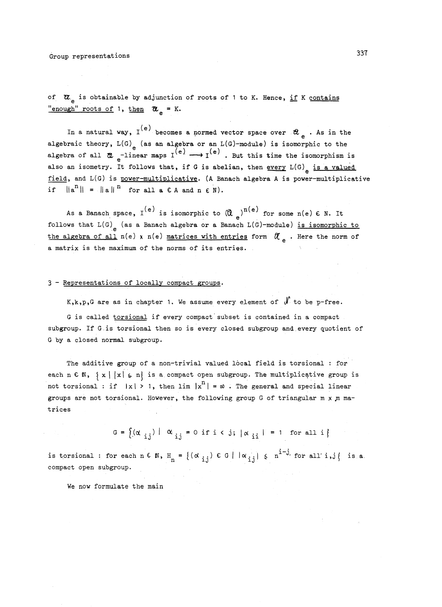of  $\alpha$ <sub>2</sub> is obtainable by adjunction of roots of 1 to K. Hence, if K contains "enough" roots of 1, then  $\alpha_{\alpha}$  = K.

In a natural way,  $I^{(e)}$  becomes a normed vector space over  $\mathcal{A}_{e}$  . As in the algebraic theory,  $L(G)$ <sub>e</sub> (as an algebra or an  $L(G)$ -module) is isomorphic to the algebra of all  $\varnothing$ <sub>e</sub>-linear maps  $I^{(e)} \longrightarrow I^{(e)}$ . But this time the isomorphism is also an isometry. It follows that, if G is abelian, then every  $L(G)$  is a valued field, and L(G) is power-multiplicative. (A Banach algebra A is power-multiplicative if  $\| \mathbf{a}^{n} \|$  =  $\| \mathbf{a} \|$ <sup>n</sup> for all a  $\in \mathbf{A}$  and  $\mathbf{n} \in \mathbf{N}$ .

As a Banach space,  $I^{(e)}$  is isomorphic to  $(\mathbb{Q}_{\geq})^{H(e)}$  for some n(e)  $\epsilon$  N. It follows that  $L(G)$  (as a Banach algebra or a Banach  $L(G)$ -module) is isomorphic to the algebra of all  $n(e)$  x  $n(e)$  matrices with entries form  $\alpha$  . Here the norm of a matrix is the maximum of the norms of its entries.

#### 3 - Representations of locally compact groups.

K, k, p, G are as in chapter 1. We assume every element of  $\mathcal N$  to be p-free.

G is called torsional if every compact subset is contained in a compact subgroup. If G.is torsional then so is every closed subgroup and.every quotient of G by a closed normal subgroup.

The additive group of a non-trivial valued local field is torsional : for each n  $C \mathbb{N}$ ,  $\{ x \mid |x| \leq n \}$  is a compact open subgroup. The multiplicative group is not torsional : if  $|x| > 1$ , then lim  $|x^n| = \infty$ . The general and special linear groups are not torsional. However, the following group G of triangular  $m \times m$  matrices

$$
G = \left\{ (\alpha_{ij}) | \alpha_{ij} = 0 \text{ if } i < j; |\alpha_{ii}| = 1 \text{ for all } i \right\}
$$

is torsional : for each n  $\epsilon \in \mathbb{N}$ ,  $H_n = \{ (\alpha_{i,j}) \epsilon \in \mathbb{N} \mid |\alpha_{i,j}| \leq n^{1-j} \text{ for all } i,j \}$  is a compact open subgroup.

We now formulate the main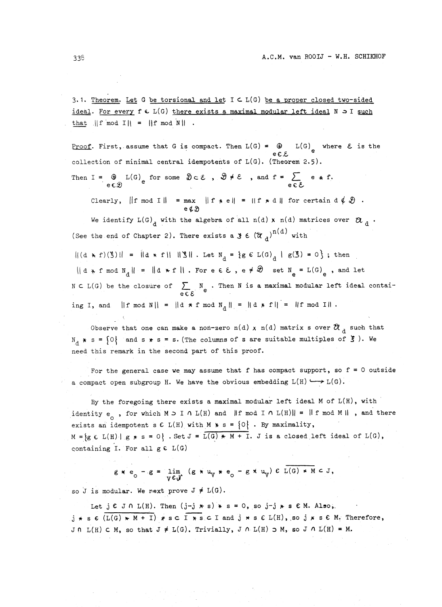3.1. Theorem. Let G be torsional and let  $I \subset L(G)$  be a proper closed two-sided ideal. For every  $f \in L(G)$  there exists a maximal modular left ideal  $N \supset I$  such that  $||f \mod I|| = ||f \mod N||$ .

Proof. First, assume that G is compact. Then  $L(G) = \bigoplus L(G)$  where  $\mathcal E$  is the  $eE$ collection of minimal central idempotents of L(G). (Theorem 2.5).

Then I =  $\bigoplus_{e \in \mathcal{D}} L(G)_{e}$  for some  $\mathcal{D} \subset \mathcal{E}$ ,  $\mathcal{D} \neq \mathcal{E}$ , and  $f = \sum_{e \in \mathcal{E}} e * f$ .<br>Clearly,  $||f \mod I|| = \max |f * e|| = ||f * d||$  for certain  $d \notin \mathcal{D}$ .

Clearly,  $\|\mathbf{f}\|$  mod I| =  $\|\mathbf{f}\|$  + e| =  $\|\mathbf{f}\|$  + d| for certain d  $\phi$   $\vartheta$ .

We identify  $L(G)$ <sub>d</sub> with the algebra of all n(d) x n(d) matrices over  $\alpha$ (See the end of Chapter 2). There exists a  $\mathfrak{z} \in (\mathfrak{U}_A)^{n(d)}$  with

 $||(d * f)(3)|| = |d * f|| ||3||$ . Let  $N_A = {g \in L(G) \cup g(S) = 0}$ ; then  $||d * f \bmod N_d|| = ||d * f||$ . For e  $\epsilon \epsilon$ ,  $e \neq \mathcal{D}$  set  $N_a = L(G)$ , and let  $N \subset L(G)$  be the closure of  $\sum_{e \in E} N_e$ . Then N is a maximal modular left ideal contaiing I, and  $||f \bmod N|| = ||d * f \bmod N_A|| = ||d * f|| = ||f \bmod I||$ .

Observe that one can make a non-zero n(d) x n(d) matrix s over  $\alpha$  a such that  $N_A * s = \{0\}$  and s  $* s = s$ . (The columns of s are suitable multiples of  $\S$ ). We need this remark in the second part of this proof.

For the general case we may assume that  $f$  has compact support, so  $f = 0$  outside a compact open subgroup H. We have the obvious embedding  $L(H) \longrightarrow L(G)$ 

By the foregoing there exists a maximal modular left ideal M of L(H), with identity e<sub>o</sub> , for which M  $\supset$  I  $\cap$  L(H) and  $\|$ f mod I  $\cap$  L(H)|| = ||f mod M || , and there exists an idempotent s  $C L(H)$  with  $M * s = \{0\}$ . By maximality,  $M = {g \in L(H) | g * s = 0}$ . Set  $J = L(G) * M + I$ . J is a closed left ideal of  $L(G)$ , containing I. For all  $g \in L(G)$ 

$$
g * e_0 - g = \lim_{V \in \mathcal{N}} (g * u_V * e_0 - g * u_V) c L(G) * M c J,
$$

so J is modular. We next prove  $J \neq L(G)$ .

Let  $j \in J \cap L(H)$ . Then  $(j-j * s) * s = 0$ , so  $j-j * s \in M$ . Also,  $j * s \in (L(G) * M + I) * s \subset I * s \subset I$  and  $j * s \in L(H)$ , so  $j * s \in M$ . Therefore, J 0 L(H) C M, so that  $J \neq L(G)$ . Trivially,  $J \cap L(H) \supset M$ , so  $J \cap L(H) = M$ .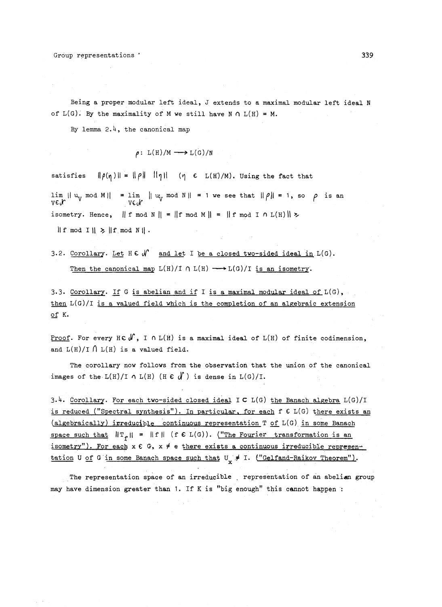Being a proper modular left ideal, J extends to a maximal modular left ideal N of  $L(G)$ . By the maximality of M we still have N  $\cap$   $L(H) = M$ .

By lemma 2.4, the canonical map

$$
\rho: L(H)/M \longrightarrow L(G)/N
$$

satisfies  $\|\rho(\eta)\| = \|\rho\|$  lipli ( $\eta \in L(H)/M$ ). Using the fact that

 $\lim_{\forall V \in \mathcal{N}} ||u_V \mod M|| = \lim_{\forall V \in \mathcal{N}} ||u_V \mod N|| = 1$  we see that  $||\rho|| = 1$ , so  $\rho$  is an isometry. Hence,  $|| f \mod N || = || f \mod M || = || f \mod I \cap L(H) || >$ 

 $\| f \mod I \| \geq \| f \mod N \|$ .

3.2. Corollary. Let  $H \in \mathcal{N}$  and let I be a closed two-sided ideal in  $L(G)$ . Then the canonical map  $L(H)/I \cap L(H) \longrightarrow L(G)/I$  is an isometry.

3.3. Corollary. If G is abelian and if I is a maximal modular ideal of  $L(G)$ , then L(G)/I is a valued field which is the completion of an algebraic extension of K.

Proof. For every HC $(J^{\prime})$ , I  $\cap$  L(H) is a maximal ideal of L(H) of finite codimension, and  $L(H)/I \cap L(H)$  is a valued field.

The corollary now follows from the observation that the union of the canonical images of the  $L(H)/I \cap L(H)$  (H  $\epsilon$   $\int$ ) is dense in  $L(G)/I$ .

3.4. Corollary. For each two-sided closed ideal  $I \subset L(G)$  the Banach algebra  $L(G)/I$ is reduced ("Spectral synthesis"). In particular, for each f G L(G) there exists an  $(algebraically) irreducible continuous representation T of L(G) in some Banach$ space such that  $||T_{\rho}|| = ||f||$  (f  $\epsilon L(G)$ ). ("The Fourier transformation is an isometry"). For each x € G, x ≠ e there exists a continuous irreducible representation U of G in some Banach space such that  $U_x \neq I$ . ("Gelfand-Raikov Theorem").

The representation space of an irreducible , representation of an abelian group may have dimension greater than 1. If K is "big enough" this cannot happen :